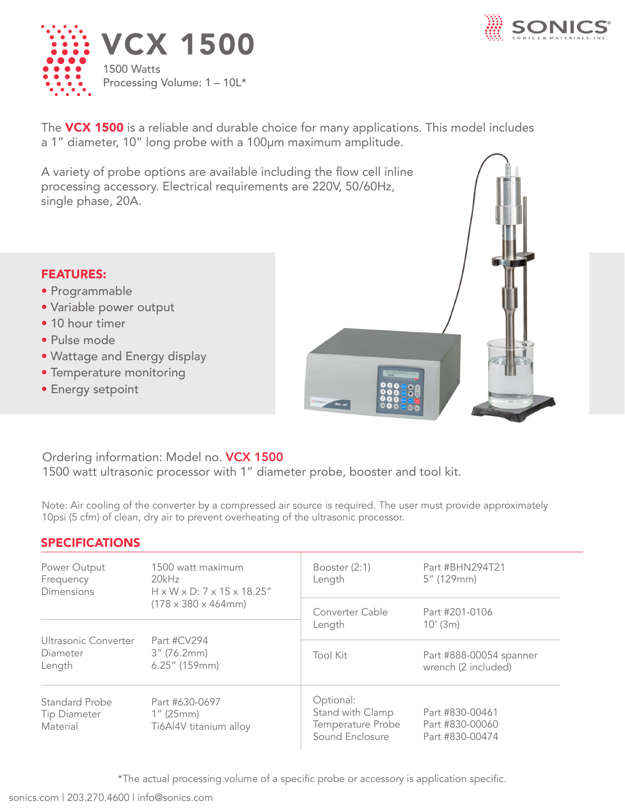



The VCX 1500 is a reliable and durable choice for many applications. This model includes a 1" diameter, 10" long probe with a 100µm maximum amplitude.

A variety of probe options are available including the flow cell inline processing accessory. Electrical requirements are 220V, 50/60Hz, single phase, 20A.



## FEATURES:

- Programmable
- Variable power output
- 10 hour timer
- Pulse mode
- Wattage and Energy display
- Temperature monitoring
- Energy setpoint

## Ordering information: Model no. VCX 1500

1500 watt ultrasonic processor with 1" diameter probe, booster and tool kit.

Note: Air cooling of the converter by a compressed air source is required. The user must provide approximately 10psi (5 cfm) of clean, dry air to prevent overheating of the ultrasonic processor.

## SPECIFICATIONS

| Power Output<br>Frequency<br><b>Dimensions</b>    | 1500 watt maximum<br>20kHz<br>H x W x D: 7 x 15 x 18.25"<br>$(178 \times 380 \times 464 \text{mm})$ | Booster $(2:1)$<br>Length                                             | Part #BHN294T21<br>5" (129mm)                         |
|---------------------------------------------------|-----------------------------------------------------------------------------------------------------|-----------------------------------------------------------------------|-------------------------------------------------------|
|                                                   |                                                                                                     | Converter Cable<br>Length                                             | Part #201-0106<br>10'(3m)                             |
| Ultrasonic Converter<br>Diameter<br>Length        | Part #CV294<br>$3''$ (76.2mm)<br>$6.25''$ (159mm)                                                   | <b>Tool Kit</b>                                                       | Part #888-00054 spanner<br>wrench (2 included)        |
| Standard Probe<br><b>Tip Diameter</b><br>Material | Part #630-0697<br>$1''$ (25mm)<br>Ti6Al4V titanium alloy                                            | Optional:<br>Stand with Clamp<br>Temperature Probe<br>Sound Enclosure | Part #830-00461<br>Part #830-00060<br>Part #830-00474 |

\*The actual processing volume of a specific probe or accessory is application specific.